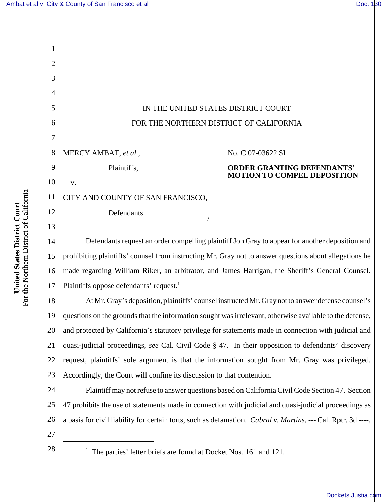

15 16 17 prohibiting plaintiffs' counsel from instructing Mr. Gray not to answer questions about allegations he made regarding William Riker, an arbitrator, and James Harrigan, the Sheriff's General Counsel. Plaintiffs oppose defendants' request.<sup>1</sup>

18 19 20 21 22 23 At Mr. Gray's deposition, plaintiffs' counsel instructed Mr. Gray not to answer defense counsel's questions on the grounds that the information sought was irrelevant, otherwise available to the defense, and protected by California's statutory privilege for statements made in connection with judicial and quasi-judicial proceedings, *see* Cal. Civil Code § 47. In their opposition to defendants' discovery request, plaintiffs' sole argument is that the information sought from Mr. Gray was privileged. Accordingly, the Court will confine its discussion to that contention.

24 25 26 Plaintiff may not refuse to answer questions based on California Civil Code Section 47. Section 47 prohibits the use of statements made in connection with judicial and quasi-judicial proceedings as a basis for civil liability for certain torts, such as defamation. *Cabral v. Martins*, --- Cal. Rptr. 3d ----,

- 27
- 28 <sup>1</sup>

 $1$  The parties' letter briefs are found at Docket Nos. 161 and 121.